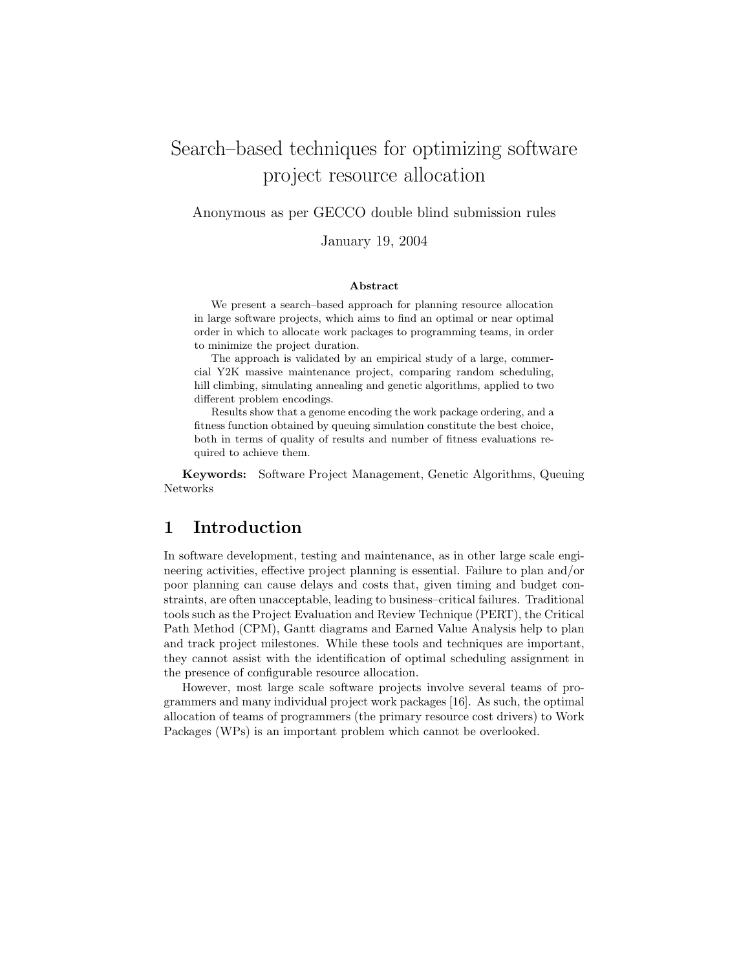# Search–based techniques for optimizing software project resource allocation

Anonymous as per GECCO double blind submission rules

January 19, 2004

#### Abstract

We present a search–based approach for planning resource allocation in large software projects, which aims to find an optimal or near optimal order in which to allocate work packages to programming teams, in order to minimize the project duration.

The approach is validated by an empirical study of a large, commercial Y2K massive maintenance project, comparing random scheduling, hill climbing, simulating annealing and genetic algorithms, applied to two different problem encodings.

Results show that a genome encoding the work package ordering, and a fitness function obtained by queuing simulation constitute the best choice, both in terms of quality of results and number of fitness evaluations required to achieve them.

Keywords: Software Project Management, Genetic Algorithms, Queuing Networks

### 1 Introduction

In software development, testing and maintenance, as in other large scale engineering activities, effective project planning is essential. Failure to plan and/or poor planning can cause delays and costs that, given timing and budget constraints, are often unacceptable, leading to business–critical failures. Traditional tools such as the Project Evaluation and Review Technique (PERT), the Critical Path Method (CPM), Gantt diagrams and Earned Value Analysis help to plan and track project milestones. While these tools and techniques are important, they cannot assist with the identification of optimal scheduling assignment in the presence of configurable resource allocation.

However, most large scale software projects involve several teams of programmers and many individual project work packages [16]. As such, the optimal allocation of teams of programmers (the primary resource cost drivers) to Work Packages (WPs) is an important problem which cannot be overlooked.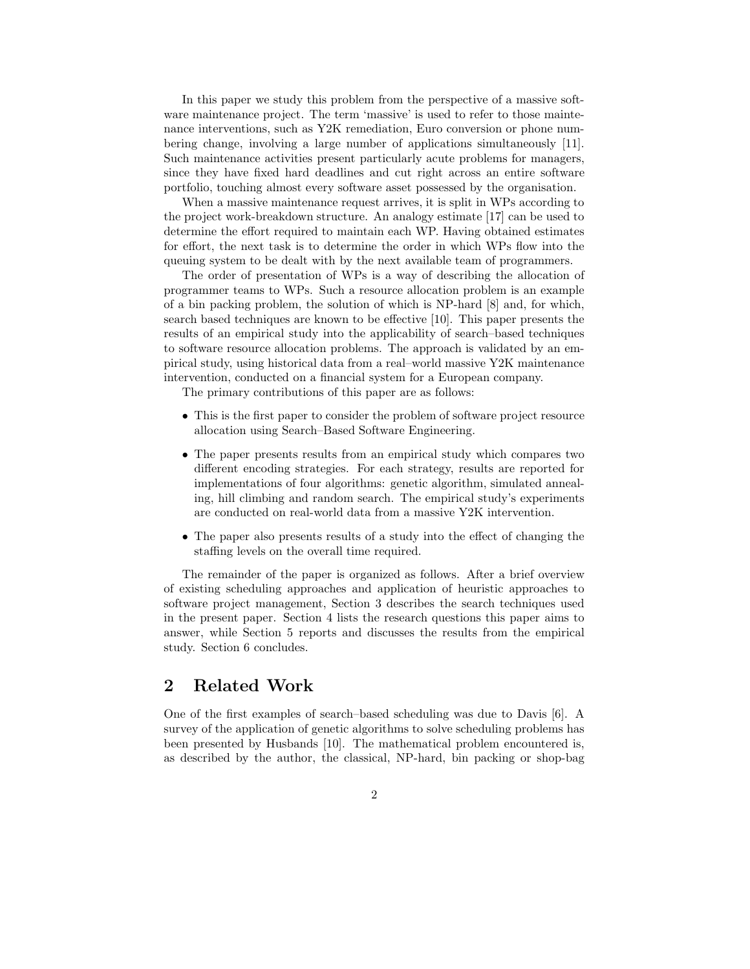In this paper we study this problem from the perspective of a massive software maintenance project. The term 'massive' is used to refer to those maintenance interventions, such as Y2K remediation, Euro conversion or phone numbering change, involving a large number of applications simultaneously [11]. Such maintenance activities present particularly acute problems for managers, since they have fixed hard deadlines and cut right across an entire software portfolio, touching almost every software asset possessed by the organisation.

When a massive maintenance request arrives, it is split in WPs according to the project work-breakdown structure. An analogy estimate [17] can be used to determine the effort required to maintain each WP. Having obtained estimates for effort, the next task is to determine the order in which WPs flow into the queuing system to be dealt with by the next available team of programmers.

The order of presentation of WPs is a way of describing the allocation of programmer teams to WPs. Such a resource allocation problem is an example of a bin packing problem, the solution of which is NP-hard [8] and, for which, search based techniques are known to be effective [10]. This paper presents the results of an empirical study into the applicability of search–based techniques to software resource allocation problems. The approach is validated by an empirical study, using historical data from a real–world massive Y2K maintenance intervention, conducted on a financial system for a European company.

The primary contributions of this paper are as follows:

- This is the first paper to consider the problem of software project resource allocation using Search–Based Software Engineering.
- The paper presents results from an empirical study which compares two different encoding strategies. For each strategy, results are reported for implementations of four algorithms: genetic algorithm, simulated annealing, hill climbing and random search. The empirical study's experiments are conducted on real-world data from a massive Y2K intervention.
- The paper also presents results of a study into the effect of changing the staffing levels on the overall time required.

The remainder of the paper is organized as follows. After a brief overview of existing scheduling approaches and application of heuristic approaches to software project management, Section 3 describes the search techniques used in the present paper. Section 4 lists the research questions this paper aims to answer, while Section 5 reports and discusses the results from the empirical study. Section 6 concludes.

# 2 Related Work

One of the first examples of search–based scheduling was due to Davis [6]. A survey of the application of genetic algorithms to solve scheduling problems has been presented by Husbands [10]. The mathematical problem encountered is, as described by the author, the classical, NP-hard, bin packing or shop-bag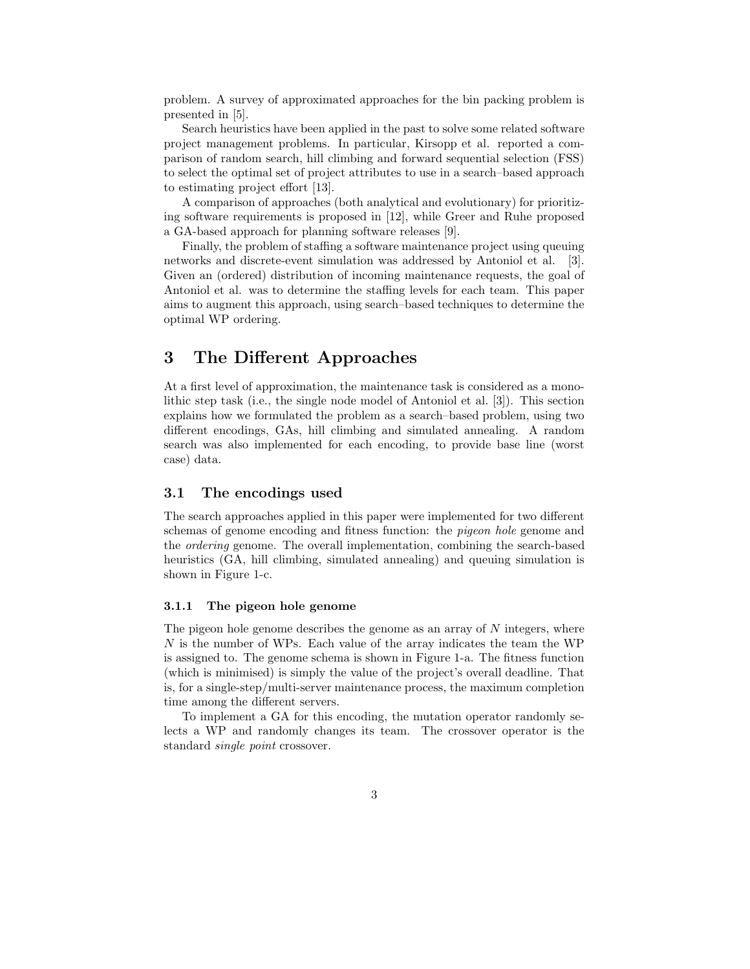problem. A survey of approximated approaches for the bin packing problem is presented in [5].

Search heuristics have been applied in the past to solve some related software project management problems. In particular, Kirsopp et al. reported a comparison of random search, hill climbing and forward sequential selection (FSS) to select the optimal set of project attributes to use in a search–based approach to estimating project effort [13].

A comparison of approaches (both analytical and evolutionary) for prioritizing software requirements is proposed in [12], while Greer and Ruhe proposed a GA-based approach for planning software releases [9].

Finally, the problem of staffing a software maintenance project using queuing networks and discrete-event simulation was addressed by Antoniol et al. [3]. Given an (ordered) distribution of incoming maintenance requests, the goal of Antoniol et al. was to determine the staffing levels for each team. This paper aims to augment this approach, using search–based techniques to determine the optimal WP ordering.

### 3 The Different Approaches

At a first level of approximation, the maintenance task is considered as a monolithic step task (i.e., the single node model of Antoniol et al. [3]). This section explains how we formulated the problem as a search–based problem, using two different encodings, GAs, hill climbing and simulated annealing. A random search was also implemented for each encoding, to provide base line (worst case) data.

#### 3.1 The encodings used

The search approaches applied in this paper were implemented for two different schemas of genome encoding and fitness function: the pigeon hole genome and the ordering genome. The overall implementation, combining the search-based heuristics (GA, hill climbing, simulated annealing) and queuing simulation is shown in Figure 1-c.

#### 3.1.1 The pigeon hole genome

The pigeon hole genome describes the genome as an array of  $N$  integers, where N is the number of WPs. Each value of the array indicates the team the WP is assigned to. The genome schema is shown in Figure 1-a. The fitness function (which is minimised) is simply the value of the project's overall deadline. That is, for a single-step/multi-server maintenance process, the maximum completion time among the different servers.

To implement a GA for this encoding, the mutation operator randomly selects a WP and randomly changes its team. The crossover operator is the standard single point crossover.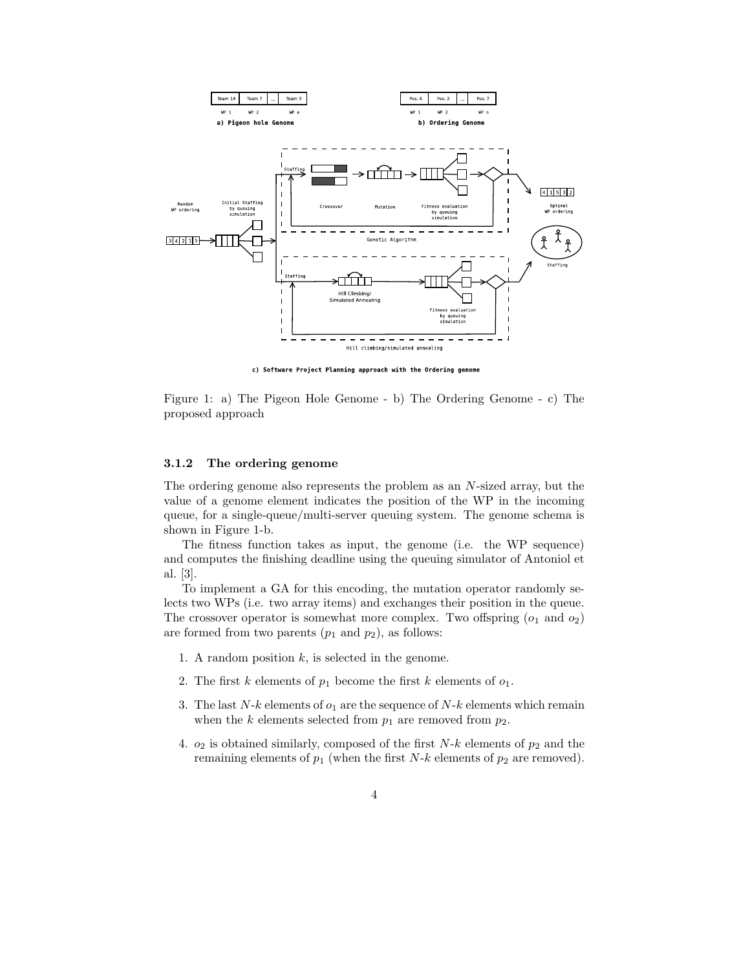

c) Software Project Planning approach with the Ordering genome

Figure 1: a) The Pigeon Hole Genome - b) The Ordering Genome - c) The proposed approach

#### 3.1.2 The ordering genome

The ordering genome also represents the problem as an N-sized array, but the value of a genome element indicates the position of the WP in the incoming queue, for a single-queue/multi-server queuing system. The genome schema is shown in Figure 1-b.

The fitness function takes as input, the genome (i.e. the WP sequence) and computes the finishing deadline using the queuing simulator of Antoniol et al. [3].

To implement a GA for this encoding, the mutation operator randomly selects two WPs (i.e. two array items) and exchanges their position in the queue. The crossover operator is somewhat more complex. Two offspring  $(o_1 \text{ and } o_2)$ are formed from two parents  $(p_1 \text{ and } p_2)$ , as follows:

- 1. A random position  $k$ , is selected in the genome.
- 2. The first k elements of  $p_1$  become the first k elements of  $o_1$ .
- 3. The last  $N-k$  elements of  $o_1$  are the sequence of  $N-k$  elements which remain when the k elements selected from  $p_1$  are removed from  $p_2$ .
- 4.  $o_2$  is obtained similarly, composed of the first  $N-k$  elements of  $p_2$  and the remaining elements of  $p_1$  (when the first N-k elements of  $p_2$  are removed).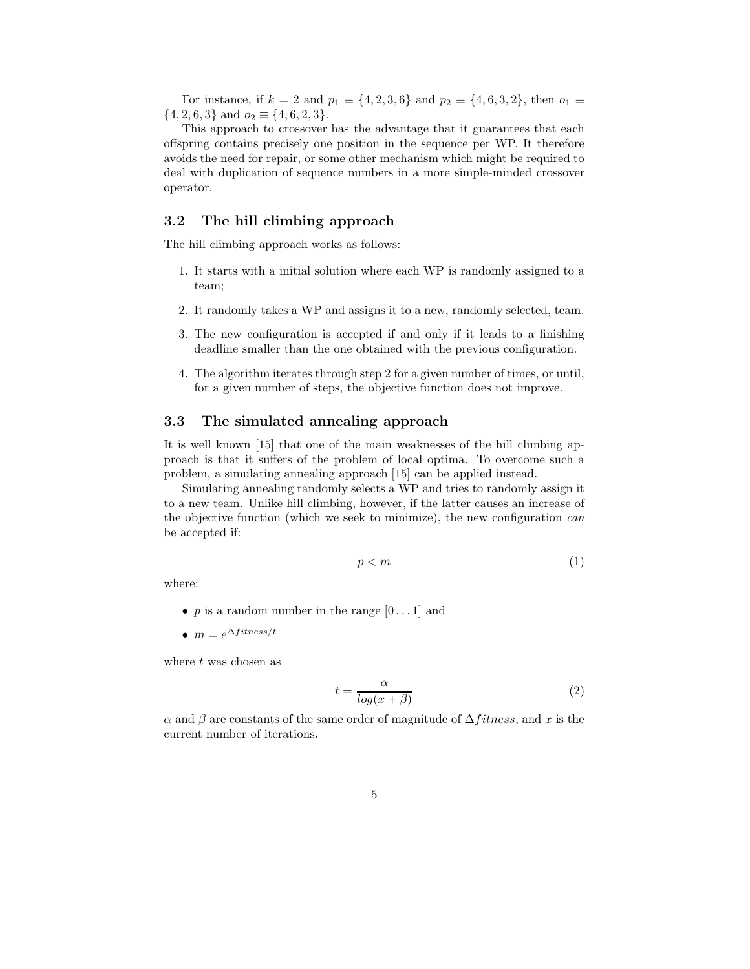For instance, if  $k = 2$  and  $p_1 \equiv \{4, 2, 3, 6\}$  and  $p_2 \equiv \{4, 6, 3, 2\}$ , then  $o_1 \equiv$  $\{4, 2, 6, 3\}$  and  $o_2 \equiv \{4, 6, 2, 3\}.$ 

This approach to crossover has the advantage that it guarantees that each offspring contains precisely one position in the sequence per WP. It therefore avoids the need for repair, or some other mechanism which might be required to deal with duplication of sequence numbers in a more simple-minded crossover operator.

#### 3.2 The hill climbing approach

The hill climbing approach works as follows:

- 1. It starts with a initial solution where each WP is randomly assigned to a team;
- 2. It randomly takes a WP and assigns it to a new, randomly selected, team.
- 3. The new configuration is accepted if and only if it leads to a finishing deadline smaller than the one obtained with the previous configuration.
- 4. The algorithm iterates through step 2 for a given number of times, or until, for a given number of steps, the objective function does not improve.

#### 3.3 The simulated annealing approach

It is well known [15] that one of the main weaknesses of the hill climbing approach is that it suffers of the problem of local optima. To overcome such a problem, a simulating annealing approach [15] can be applied instead.

Simulating annealing randomly selects a WP and tries to randomly assign it to a new team. Unlike hill climbing, however, if the latter causes an increase of the objective function (which we seek to minimize), the new configuration can be accepted if:

$$
p < m \tag{1}
$$

where:

- p is a random number in the range  $[0 \dots 1]$  and
- $m = e^{\Delta f itness/t}$

where t was chosen as

$$
t = \frac{\alpha}{\log(x + \beta)}\tag{2}
$$

 $\alpha$  and  $\beta$  are constants of the same order of magnitude of  $\Delta fitness$ , and x is the current number of iterations.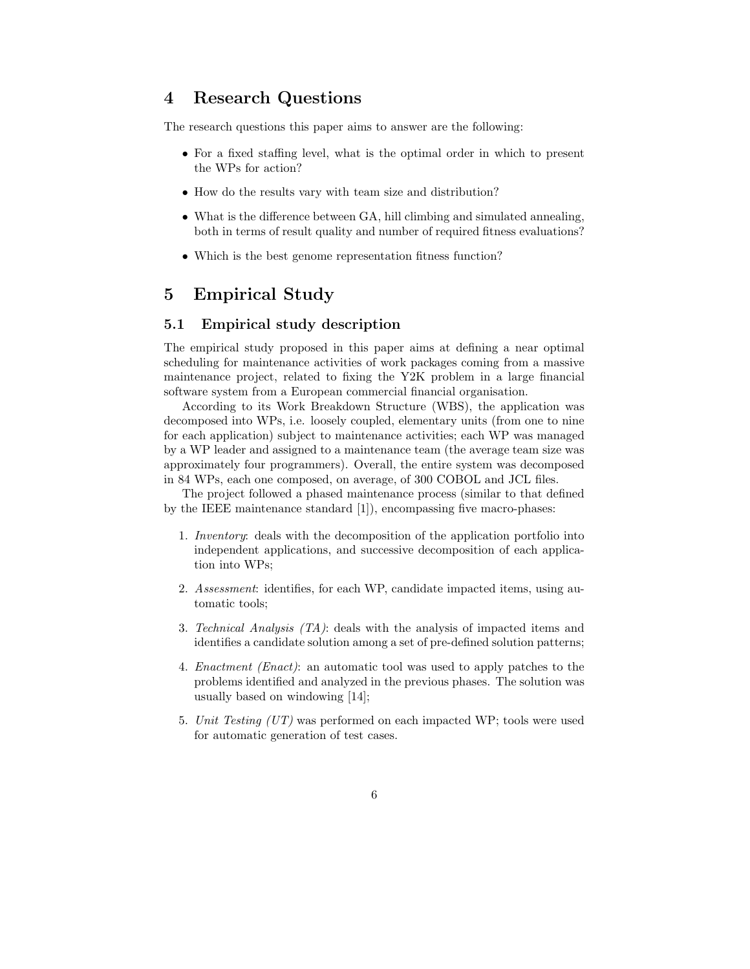### 4 Research Questions

The research questions this paper aims to answer are the following:

- For a fixed staffing level, what is the optimal order in which to present the WPs for action?
- How do the results vary with team size and distribution?
- What is the difference between GA, hill climbing and simulated annealing, both in terms of result quality and number of required fitness evaluations?
- Which is the best genome representation fitness function?

## 5 Empirical Study

#### 5.1 Empirical study description

The empirical study proposed in this paper aims at defining a near optimal scheduling for maintenance activities of work packages coming from a massive maintenance project, related to fixing the Y2K problem in a large financial software system from a European commercial financial organisation.

According to its Work Breakdown Structure (WBS), the application was decomposed into WPs, i.e. loosely coupled, elementary units (from one to nine for each application) subject to maintenance activities; each WP was managed by a WP leader and assigned to a maintenance team (the average team size was approximately four programmers). Overall, the entire system was decomposed in 84 WPs, each one composed, on average, of 300 COBOL and JCL files.

The project followed a phased maintenance process (similar to that defined by the IEEE maintenance standard [1]), encompassing five macro-phases:

- 1. Inventory: deals with the decomposition of the application portfolio into independent applications, and successive decomposition of each application into WPs;
- 2. Assessment: identifies, for each WP, candidate impacted items, using automatic tools;
- 3. Technical Analysis (TA): deals with the analysis of impacted items and identifies a candidate solution among a set of pre-defined solution patterns;
- 4. Enactment (Enact): an automatic tool was used to apply patches to the problems identified and analyzed in the previous phases. The solution was usually based on windowing [14];
- 5. Unit Testing (UT) was performed on each impacted WP; tools were used for automatic generation of test cases.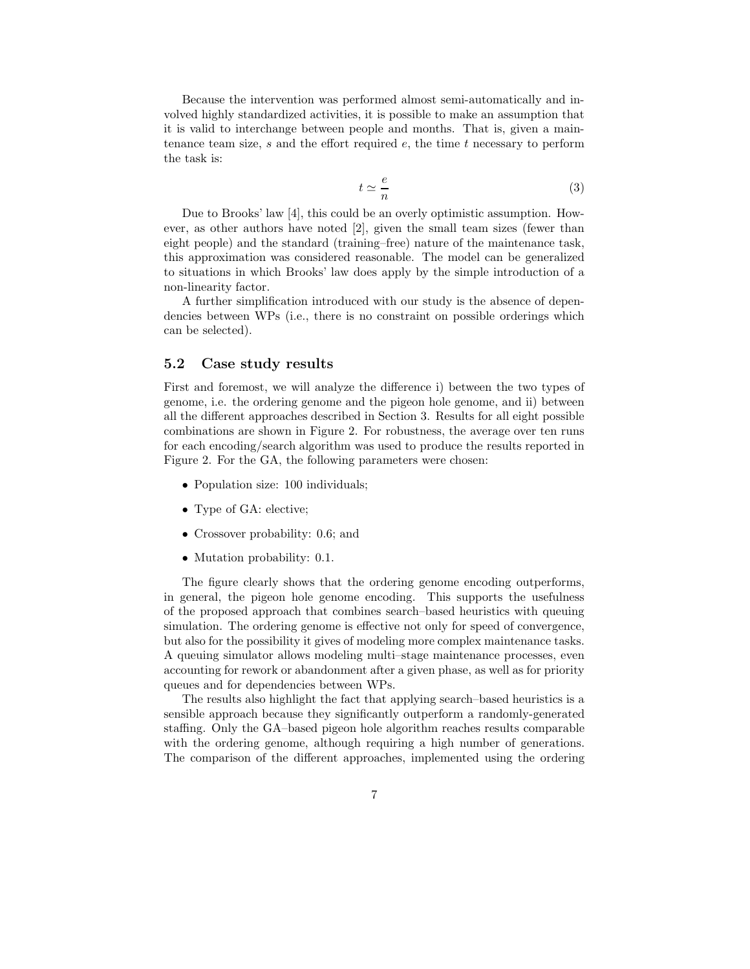Because the intervention was performed almost semi-automatically and involved highly standardized activities, it is possible to make an assumption that it is valid to interchange between people and months. That is, given a maintenance team size,  $s$  and the effort required  $e$ , the time  $t$  necessary to perform the task is:

$$
t \simeq \frac{e}{n} \tag{3}
$$

Due to Brooks' law [4], this could be an overly optimistic assumption. However, as other authors have noted [2], given the small team sizes (fewer than eight people) and the standard (training–free) nature of the maintenance task, this approximation was considered reasonable. The model can be generalized to situations in which Brooks' law does apply by the simple introduction of a non-linearity factor.

A further simplification introduced with our study is the absence of dependencies between WPs (i.e., there is no constraint on possible orderings which can be selected).

#### 5.2 Case study results

First and foremost, we will analyze the difference i) between the two types of genome, i.e. the ordering genome and the pigeon hole genome, and ii) between all the different approaches described in Section 3. Results for all eight possible combinations are shown in Figure 2. For robustness, the average over ten runs for each encoding/search algorithm was used to produce the results reported in Figure 2. For the GA, the following parameters were chosen:

- Population size: 100 individuals;
- Type of GA: elective;
- Crossover probability: 0.6; and
- Mutation probability: 0.1.

The figure clearly shows that the ordering genome encoding outperforms, in general, the pigeon hole genome encoding. This supports the usefulness of the proposed approach that combines search–based heuristics with queuing simulation. The ordering genome is effective not only for speed of convergence, but also for the possibility it gives of modeling more complex maintenance tasks. A queuing simulator allows modeling multi–stage maintenance processes, even accounting for rework or abandonment after a given phase, as well as for priority queues and for dependencies between WPs.

The results also highlight the fact that applying search–based heuristics is a sensible approach because they significantly outperform a randomly-generated staffing. Only the GA–based pigeon hole algorithm reaches results comparable with the ordering genome, although requiring a high number of generations. The comparison of the different approaches, implemented using the ordering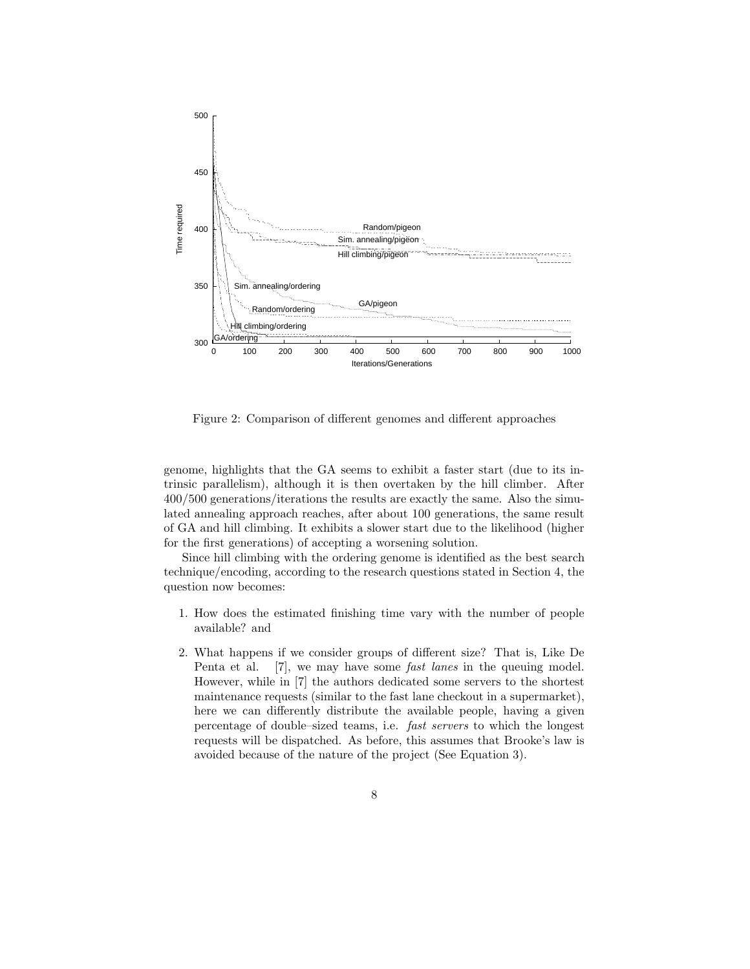

Figure 2: Comparison of different genomes and different approaches

genome, highlights that the GA seems to exhibit a faster start (due to its intrinsic parallelism), although it is then overtaken by the hill climber. After 400/500 generations/iterations the results are exactly the same. Also the simulated annealing approach reaches, after about 100 generations, the same result of GA and hill climbing. It exhibits a slower start due to the likelihood (higher for the first generations) of accepting a worsening solution.

Since hill climbing with the ordering genome is identified as the best search technique/encoding, according to the research questions stated in Section 4, the question now becomes:

- 1. How does the estimated finishing time vary with the number of people available? and
- 2. What happens if we consider groups of different size? That is, Like De Penta et al. [7], we may have some *fast lanes* in the queuing model. However, while in [7] the authors dedicated some servers to the shortest maintenance requests (similar to the fast lane checkout in a supermarket), here we can differently distribute the available people, having a given percentage of double–sized teams, i.e. fast servers to which the longest requests will be dispatched. As before, this assumes that Brooke's law is avoided because of the nature of the project (See Equation 3).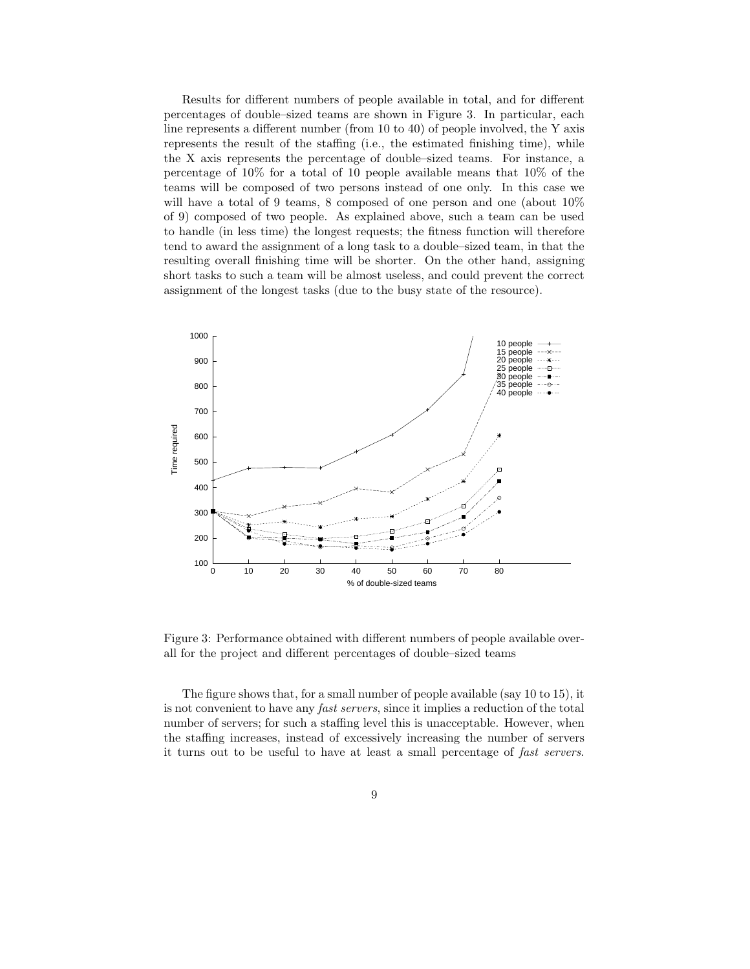Results for different numbers of people available in total, and for different percentages of double–sized teams are shown in Figure 3. In particular, each line represents a different number (from 10 to 40) of people involved, the Y axis represents the result of the staffing (i.e., the estimated finishing time), while the X axis represents the percentage of double–sized teams. For instance, a percentage of 10% for a total of 10 people available means that 10% of the teams will be composed of two persons instead of one only. In this case we will have a total of 9 teams, 8 composed of one person and one (about 10% of 9) composed of two people. As explained above, such a team can be used to handle (in less time) the longest requests; the fitness function will therefore tend to award the assignment of a long task to a double–sized team, in that the resulting overall finishing time will be shorter. On the other hand, assigning short tasks to such a team will be almost useless, and could prevent the correct assignment of the longest tasks (due to the busy state of the resource).



Figure 3: Performance obtained with different numbers of people available overall for the project and different percentages of double–sized teams

The figure shows that, for a small number of people available (say 10 to 15), it is not convenient to have any fast servers, since it implies a reduction of the total number of servers; for such a staffing level this is unacceptable. However, when the staffing increases, instead of excessively increasing the number of servers it turns out to be useful to have at least a small percentage of fast servers.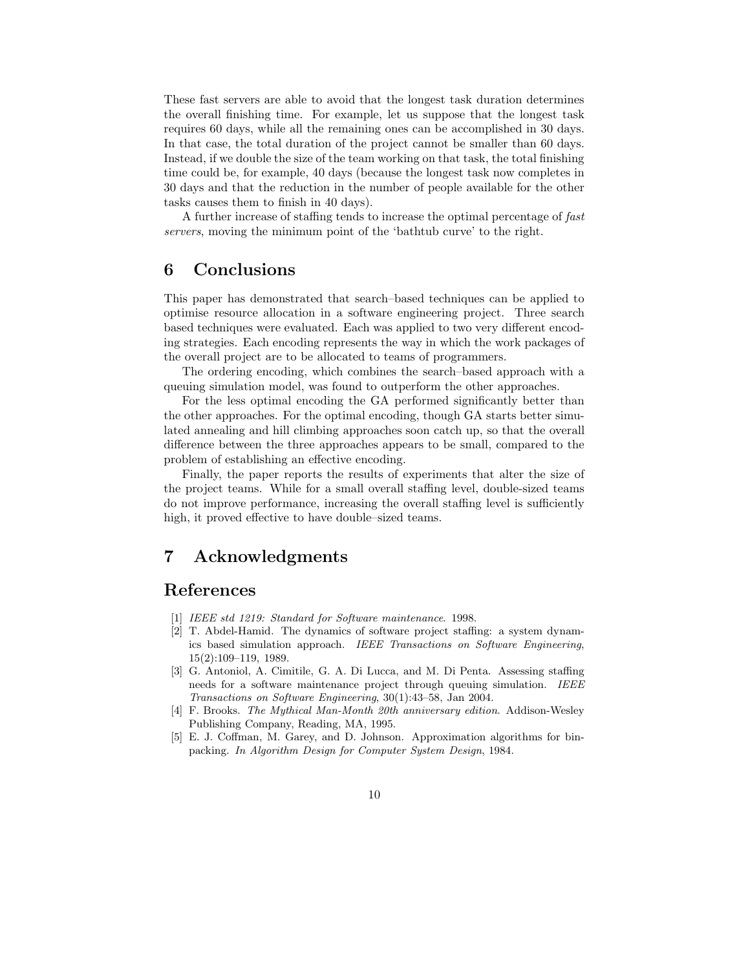These fast servers are able to avoid that the longest task duration determines the overall finishing time. For example, let us suppose that the longest task requires 60 days, while all the remaining ones can be accomplished in 30 days. In that case, the total duration of the project cannot be smaller than 60 days. Instead, if we double the size of the team working on that task, the total finishing time could be, for example, 40 days (because the longest task now completes in 30 days and that the reduction in the number of people available for the other tasks causes them to finish in 40 days).

A further increase of staffing tends to increase the optimal percentage of fast servers, moving the minimum point of the 'bathtub curve' to the right.

### 6 Conclusions

This paper has demonstrated that search–based techniques can be applied to optimise resource allocation in a software engineering project. Three search based techniques were evaluated. Each was applied to two very different encoding strategies. Each encoding represents the way in which the work packages of the overall project are to be allocated to teams of programmers.

The ordering encoding, which combines the search–based approach with a queuing simulation model, was found to outperform the other approaches.

For the less optimal encoding the GA performed significantly better than the other approaches. For the optimal encoding, though GA starts better simulated annealing and hill climbing approaches soon catch up, so that the overall difference between the three approaches appears to be small, compared to the problem of establishing an effective encoding.

Finally, the paper reports the results of experiments that alter the size of the project teams. While for a small overall staffing level, double-sized teams do not improve performance, increasing the overall staffing level is sufficiently high, it proved effective to have double–sized teams.

# 7 Acknowledgments

# References

- [1] IEEE std 1219: Standard for Software maintenance. 1998.
- [2] T. Abdel-Hamid. The dynamics of software project staffing: a system dynamics based simulation approach. IEEE Transactions on Software Engineering, 15(2):109–119, 1989.
- [3] G. Antoniol, A. Cimitile, G. A. Di Lucca, and M. Di Penta. Assessing staffing needs for a software maintenance project through queuing simulation. IEEE Transactions on Software Engineering, 30(1):43–58, Jan 2004.
- [4] F. Brooks. The Mythical Man-Month 20th anniversary edition. Addison-Wesley Publishing Company, Reading, MA, 1995.
- [5] E. J. Coffman, M. Garey, and D. Johnson. Approximation algorithms for binpacking. In Algorithm Design for Computer System Design, 1984.